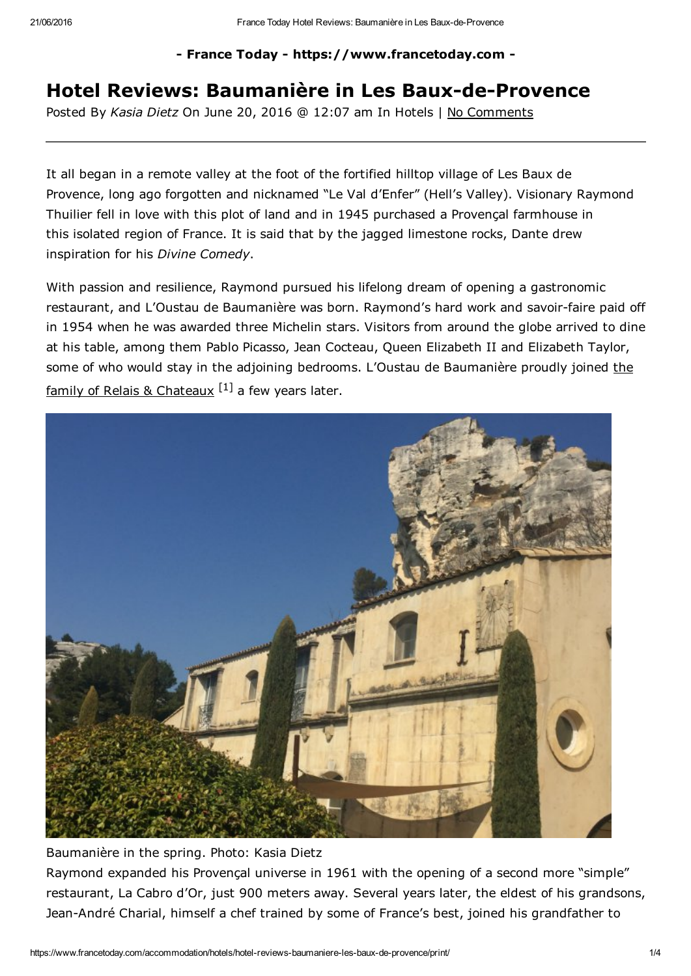- France Today - https://www.francetoday.com -

## Hotel Reviews: Baumanière in Les Baux-de-Provence

Posted By *Kasia Dietz* On June 20, 2016 @ 12:07 am In Hotels | No Comments

It all began in a remote valley at the foot of the fortified hilltop village of Les Baux de Provence, long ago forgotten and nicknamed "Le Val d'Enfer" (Hell's Valley). Visionary Raymond Thuilier fell in love with this plot of land and in 1945 purchased a Provençal farmhouse in this isolated region of France. It is said that by the jagged limestone rocks, Dante drew inspiration for his *Divine Comedy*.

With passion and resilience, Raymond pursued his lifelong dream of opening a gastronomic restaurant, and L'Oustau de Baumanière was born. Raymond's hard work and savoir-faire paid off in 1954 when he was awarded three Michelin stars. Visitors from around the globe arrived to dine at his table, among them Pablo Picasso, Jean Cocteau, Queen Elizabeth II and Elizabeth Taylor, some of who would stay in the adjoining bedrooms. L'Oustau de [Baumanière](http://www.francetoday.com/food-drink/the_fete-tastic_60th_birthday_for_relais_chateaux_at_georges_blanc/) proudly joined the family of Relais & Chateaux <sup>[1]</sup> a few years later.



## Baumanière in the spring. Photo: Kasia Dietz

Raymond expanded his Provençal universe in 1961 with the opening of a second more "simple" restaurant, La Cabro d'Or, just 900 meters away. Several years later, the eldest of his grandsons, Jean-André Charial, himself a chef trained by some of France's best, joined his grandfather to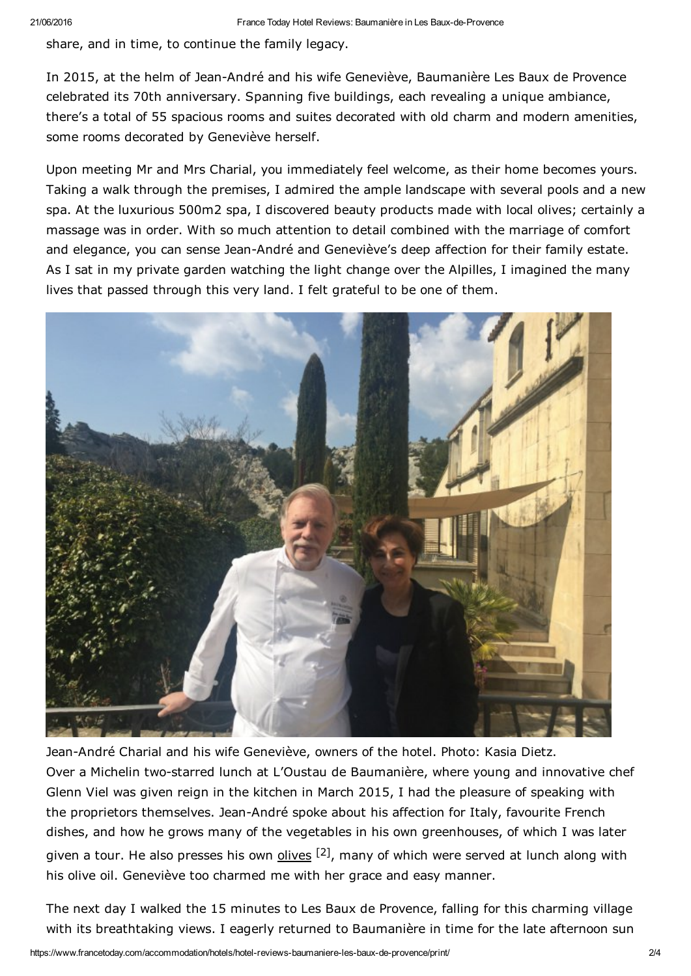share, and in time, to continue the family legacy.

In 2015, at the helm of Jean-André and his wife Geneviève, Baumanière Les Baux de Provence celebrated its 70th anniversary. Spanning five buildings, each revealing a unique ambiance, there's a total of 55 spacious rooms and suites decorated with old charm and modern amenities, some rooms decorated by Geneviève herself.

Upon meeting Mr and Mrs Charial, you immediately feel welcome, as their home becomes yours. Taking a walk through the premises, I admired the ample landscape with several pools and a new spa. At the luxurious 500m2 spa, I discovered beauty products made with local olives; certainly a massage was in order. With so much attention to detail combined with the marriage of comfort and elegance, you can sense Jean-André and Geneviève's deep affection for their family estate. As I sat in my private garden watching the light change over the Alpilles, I imagined the many lives that passed through this very land. I felt grateful to be one of them.



Jean-André Charial and his wife Geneviève, owners of the hotel. Photo: Kasia Dietz. Over a Michelin two-starred lunch at L'Oustau de Baumanière, where young and innovative chef Glenn Viel was given reign in the kitchen in March 2015, I had the pleasure of speaking with the proprietors themselves. Jean-André spoke about his affection for Italy, favourite French dishes, and how he grows many of the vegetables in his own greenhouses, of which I was later given a tour. He also presses his own **[olives](http://www.francetoday.com/culture/made_in_france/golden-green-elixir/)** <sup>[2]</sup>, many of which were served at lunch along with his olive oil. Geneviève too charmed me with her grace and easy manner.

The next day I walked the 15 minutes to Les Baux de Provence, falling for this charming village with its breathtaking views. I eagerly returned to Baumanière in time for the late afternoon sun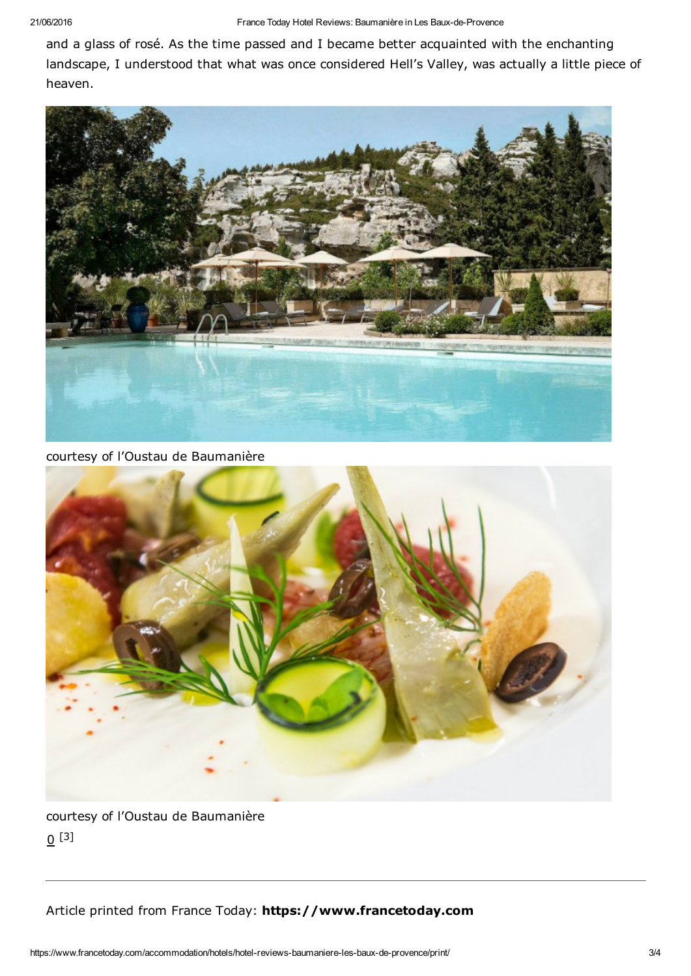and a glass of rosé. As the time passed and I became better acquainted with the enchanting landscape, I understood that what was once considered Hell's Valley, was actually a little piece of heaven.



courtesy of l'Oustau de Baumanière



courtesy of l'Oustau de Baumanière  $\underline{0}$  [3]

Article printed from France Today: https://www.francetoday.com